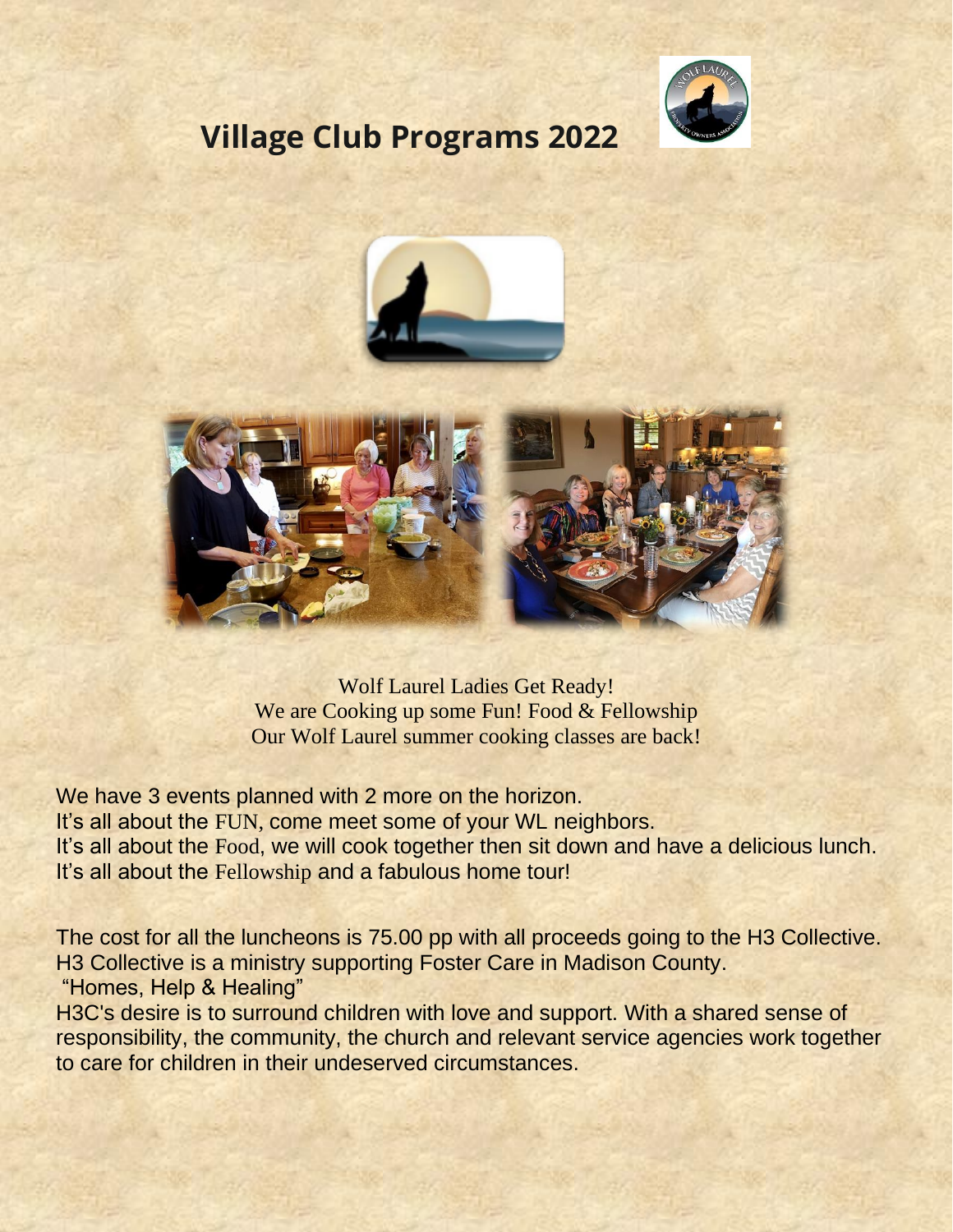

## **Village Club Programs 2022**





Wolf Laurel Ladies Get Ready! We are Cooking up some Fun! Food & Fellowship Our Wolf Laurel summer cooking classes are back!

We have 3 events planned with 2 more on the horizon. It's all about the FUN, come meet some of your WL neighbors. It's all about the Food, we will cook together then sit down and have a delicious lunch. It's all about the Fellowship and a fabulous home tour!

The cost for all the luncheons is 75.00 pp with all proceeds going to the H3 Collective. H3 Collective is a ministry supporting Foster Care in Madison County. "Homes, Help & Healing"

H3C's desire is to surround children with love and support. With a shared sense of responsibility, the community, the church and relevant service agencies work together to care for children in their undeserved circumstances.